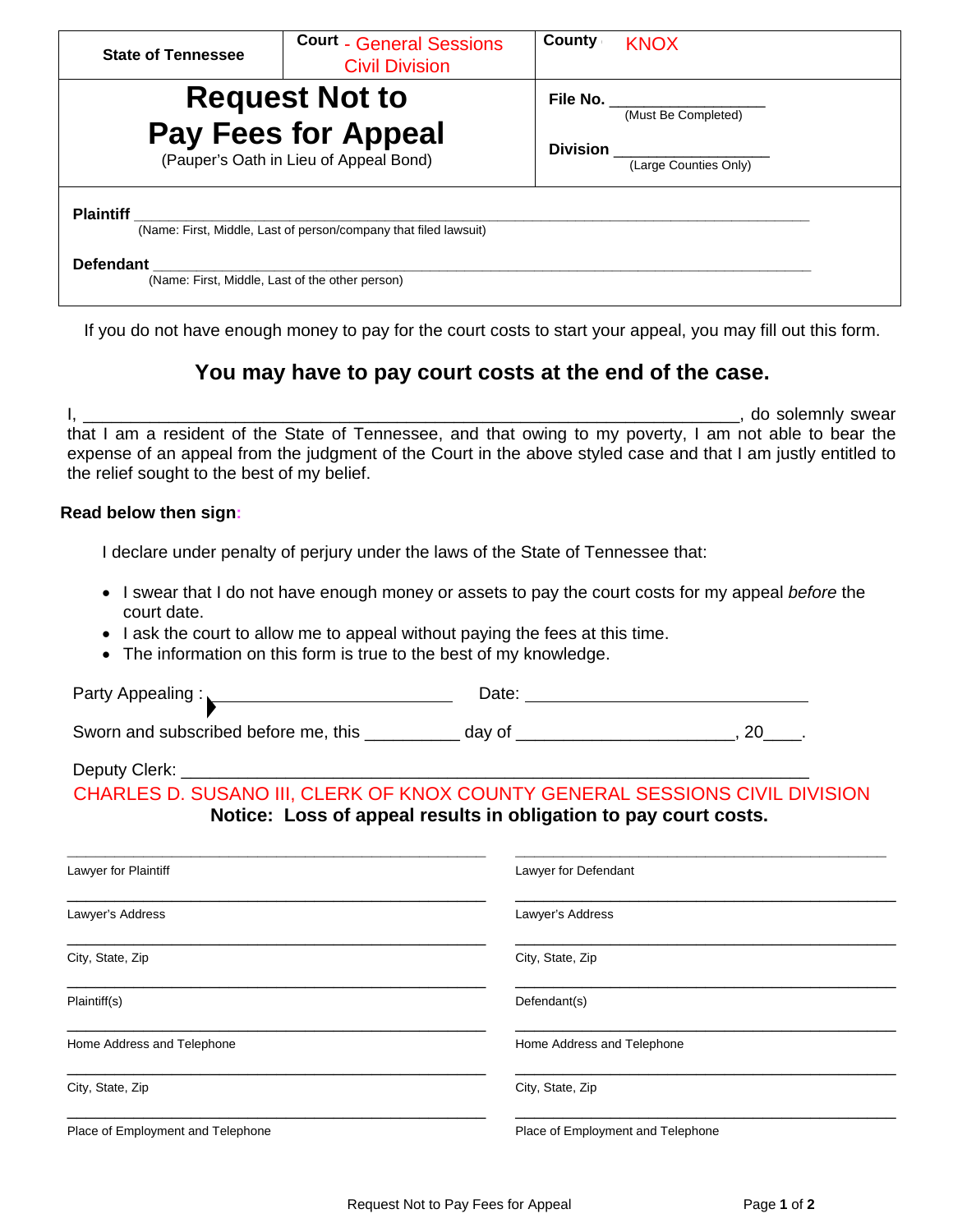| <b>State of Tennessee</b>                                                                                                                                   | <b>Court - General Sessions</b><br><b>Civil Division</b> | County          | <b>KNOX</b>                     |
|-------------------------------------------------------------------------------------------------------------------------------------------------------------|----------------------------------------------------------|-----------------|---------------------------------|
| <b>Request Not to</b>                                                                                                                                       |                                                          |                 | File No.<br>(Must Be Completed) |
| <b>Pay Fees for Appeal</b><br>(Pauper's Oath in Lieu of Appeal Bond)                                                                                        |                                                          | <b>Division</b> | (Large Counties Only)           |
| <b>Plaintiff</b><br>(Name: First, Middle, Last of person/company that filed lawsuit)<br><b>Defendant</b><br>(Name: First, Middle, Last of the other person) |                                                          |                 |                                 |

If you do not have enough money to pay for the court costs to start your appeal, you may fill out this form.

## **You may have to pay court costs at the end of the case.**

I, the contract of the contract of the contract of the contract of the contract of the contract of the contract of the contract of the contract of the contract of the contract of the contract of the contract of the contrac that I am a resident of the State of Tennessee, and that owing to my poverty, I am not able to bear the expense of an appeal from the judgment of the Court in the above styled case and that I am justly entitled to the relief sought to the best of my belief.

## **Read below then sign:**

I declare under penalty of perjury under the laws of the State of Tennessee that:

- I swear that I do not have enough money or assets to pay the court costs for my appeal *before* the court date.
- I ask the court to allow me to appeal without paying the fees at this time.
- The information on this form is true to the best of my knowledge.

Party Appealing : Date: Date: Date: Date: Date: Date: 2014

Sworn and subscribed before me, this \_\_\_\_\_\_\_\_\_ day of \_\_\_\_\_\_\_\_\_\_\_\_\_\_\_\_\_\_\_\_, 20\_\_\_.

## Deputy Clerk: \_\_\_\_\_\_\_\_\_\_\_\_\_\_\_\_\_\_\_\_\_\_\_\_\_\_\_\_\_\_\_\_\_\_\_\_\_\_\_\_\_\_\_\_\_\_\_\_\_\_\_\_\_\_\_\_\_\_\_\_\_\_\_\_\_\_

**Notice: Loss of appeal results in obligation to pay court costs.** CHARLES D. SUSANO III, CLERK OF KNOX COUNTY GENERAL SESSIONS CIVIL DIVISION

| Lawyer for Plaintiff              | Lawyer for Defendant              |
|-----------------------------------|-----------------------------------|
| Lawyer's Address                  | Lawyer's Address                  |
| City, State, Zip                  | City, State, Zip                  |
| Plaintiff(s)                      | Defendant(s)                      |
| Home Address and Telephone        | Home Address and Telephone        |
| City, State, Zip                  | City, State, Zip                  |
| Place of Employment and Telephone | Place of Employment and Telephone |